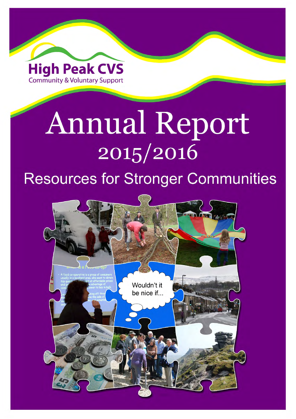

# **Annual Report** 2015/2016 **Resources for Stronger Communities**

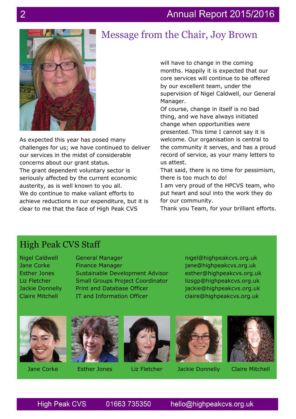#### Annual Report 2015/2016





As expected this year has posed many challenges for us; we have continued to deliver our services in the midst of considerable concerns about our grant status. The grant dependent voluntary sector is seriously affected by the current economic austerity, as is well known to you all. We do continue to make valiant efforts to achieve reductions in our expenditure, but it is clear to me that the face of High Peak CVS

will have to change in the coming months. Happily it is expected that our core services will continue to be offered by our excellent team, under the supervision of Nigel Caldwell, our General Manager.

Of course, change in itself is no bad thing, and we have always initiated change when opportunities were presented. This time I cannot say it is welcome. Our organisation is central to the community it serves, and has a proud record of service, as your many letters to us attest.

That said, there is no time for pessimism, there is too much to do!

I am very proud of the HPCVS team, who put heart and soul into the work they do for our community.

Thank you Team, for your brilliant efforts.

#### High Peak CVS Staff

Nigel Caldwell Jane Corke Esther Jones Liz Fletcher Jackie Donnelly Claire Mitchell

General Manager Finance Manager Sustainable Development Advisor Small Groups Project Coordinator Print and Database Officer IT and Information Officer

nigel@highpeakcvs.org.uk jane@highpeakcvs.org.uk esther@highpeakcvs.org.uk lizsgp@highpeakcvs.org.uk jackie@highpeakcvs.org.uk claire@highpeakcvs.org.uk









Jane Corke Esther Jones Liz Fletcher Jackie Donnelly Claire Mitchell

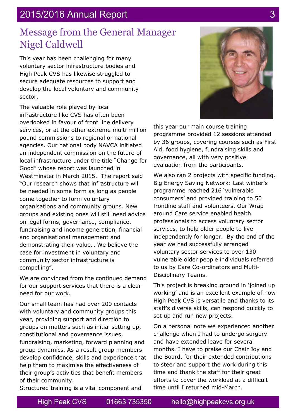#### 2015/2016 Annual Report

### Message from the General Manager Nigel Caldwell

This year has been challenging for many voluntary sector infrastructure bodies and High Peak CVS has likewise struggled to secure adequate resources to support and develop the local voluntary and community sector.

The valuable role played by local infrastructure like CVS has often been overlooked in favour of front line delivery services, or at the other extreme multi million pound commissions to regional or national agencies. Our national body NAVCA initiated an independent commission on the future of local infrastructure under the title "Change for Good" whose report was launched in Westminster in March 2015. The report said "Our research shows that infrastructure will be needed in some form as long as people come together to form voluntary organisations and community groups. New groups and existing ones will still need advice on legal forms, governance, compliance, fundraising and income generation, financial and organisational management and demonstrating their value… We believe the case for investment in voluntary and community sector infrastructure is compelling".

We are convinced from the continued demand for our support services that there is a clear need for our work.

Our small team has had over 200 contacts with voluntary and community groups this year, providing support and direction to groups on matters such as initial setting up, constitutional and governance issues, fundraising, marketing, forward planning and group dynamics. As a result group members develop confidence, skills and experience that help them to maximise the effectiveness of their group's activities that benefit members of their community.

this year our main course training programme provided 12 sessions attended by 36 groups, covering courses such as First Aid, food hygiene, fundraising skills and governance, all with very positive evaluation from the participants.

We also ran 2 projects with specific funding. Big Energy Saving Network: Last winter's programme reached 216 'vulnerable consumers' and provided training to 50 frontline staff and volunteers. Our Wrap around Care service enabled health professionals to access voluntary sector services, to help older people to live independently for longer. By the end of the year we had successfully arranged voluntary sector services to over 130 vulnerable older people individuals referred to us by Care Co-ordinators and Multi-Disciplinary Teams.

This project is breaking ground in 'joined up working' and is an excellent example of how High Peak CVS is versatile and thanks to its staff's diverse skills, can respond quickly to set up and run new projects.

On a personal note we experienced another challenge when I had to undergo surgery and have extended leave for several months. I have to praise our Chair Joy and the Board, for their extended contributions to steer and support the work during this time and thank the staff for their great efforts to cover the workload at a difficult time until I returned mid-March.

Structured training is a vital component and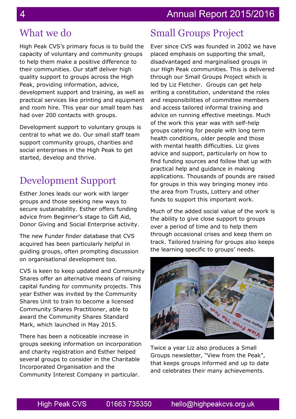### What we do

High Peak CVS's primary focus is to build the capacity of voluntary and community groups to help them make a positive difference to their communities. Our staff deliver high quality support to groups across the High Peak, providing information, advice, development support and training, as well as practical services like printing and equipment and room hire. This year our small team has had over 200 contacts with groups.

Development support to voluntary groups is central to what we do. Our small staff team support community groups, charities and social enterprises in the High Peak to get started, develop and thrive.

# Development Support

Esther Jones leads our work with larger groups and those seeking new ways to secure sustainability. Esther offers funding advice from Beginner's stage to Gift Aid, Donor Giving and Social Enterprise activity.

The new Funder finder database that CVS acquired has been particularly helpful in guiding groups, often prompting discussion on organisational development too.

CVS is keen to keep updated and Community Shares offer an alternative means of raising capital funding for community projects. This year Esther was invited by the Community Shares Unit to train to become a licensed Community Shares Practitioner, able to award the Community Shares Standard Mark, which launched in May 2015.

There has been a noticeable increase in groups seeking information on incorporation and charity registration and Esther helped several groups to consider in the Charitable Incorporated Organisation and the Community Interest Company in particular.

# Small Groups Project

Ever since CVS was founded in 2002 we have placed emphasis on supporting the small, disadvantaged and marginalised groups in our High Peak communities. This is delivered through our Small Groups Project which is led by Liz Fletcher. Groups can get help writing a constitution, understand the roles and responsibilities of committee members and access tailored informal training and advice on running effective meetings. Much of the work this year was with self-help groups catering for people with long term health conditions, older people and those with mental health difficulties. Liz gives advice and support, particularly on how to find funding sources and follow that up with practical help and guidance in making applications. Thousands of pounds are raised for groups in this way bringing money into the area from Trusts, Lottery and other funds to support this important work.

Much of the added social value of the work is the ability to give close support to groups over a period of time and to help them through occasional crises and keep them on track. Tailored training for groups also keeps the learning specific to groups' needs.



Twice a year Liz also produces a Small Groups newsletter, "View from the Peak", that keeps groups informed and up to date and celebrates their many achievements.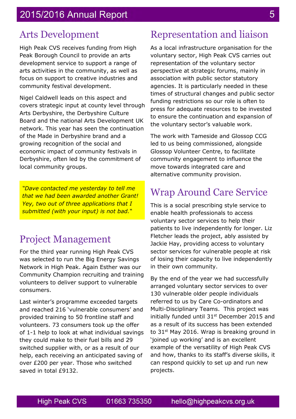#### Arts Development

High Peak CVS receives funding from High Peak Borough Council to provide an arts development service to support a range of arts activities in the community, as well as focus on support to creative industries and community festival development.

Nigel Caldwell leads on this aspect and covers strategic input at county level through Arts Derbyshire, the Derbyshire Culture Board and the national Arts Development UK network. This year has seen the continuation of the Made in Derbyshire brand and a growing recognition of the social and economic impact of community festivals in Derbyshire, often led by the commitment of local community groups.

*"Dave contacted me yesterday to tell me that we had been awarded another Grant! Yey, two out of three applications that I submitted (with your input) is not bad."* 

### Project Management

For the third year running High Peak CVS was selected to run the Big Energy Savings Network in High Peak. Again Esther was our Community Champion recruiting and training volunteers to deliver support to vulnerable consumers.

Last winter's programme exceeded targets and reached 216 'vulnerable consumers' and provided training to 50 frontline staff and volunteers. 73 consumers took up the offer of 1-1 help to look at what individual savings they could make to their fuel bills and 29 switched supplier with, or as a result of our help, each receiving an anticipated saving of over £200 per year. Those who switched saved in total £9132.

# Representation and liaison

As a local infrastructure organisation for the voluntary sector, High Peak CVS carries out representation of the voluntary sector perspective at strategic forums, mainly in association with public sector statutory agencies. It is particularly needed in these times of structural changes and public sector funding restrictions so our role is often to press for adequate resources to be invested to ensure the continuation and expansion of the voluntary sector's valuable work.

The work with Tameside and Glossop CCG led to us being commissioned, alongside Glossop Volunteer Centre, to facilitate community engagement to influence the move towards integrated care and alternative community provision.

## Wrap Around Care Service

This is a social prescribing style service to enable health professionals to access voluntary sector services to help their patients to live independently for longer. Liz Fletcher leads the project, ably assisted by Jackie Hay, providing access to voluntary sector services for vulnerable people at risk of losing their capacity to live independently in their own community.

By the end of the year we had successfully arranged voluntary sector services to over 130 vulnerable older people individuals referred to us by Care Co-ordinators and Multi-Disciplinary Teams. This project was initially funded until  $31<sup>st</sup>$  December 2015 and as a result of its success has been extended to  $31<sup>st</sup>$  May 2016. Wrap is breaking ground in 'joined up working' and is an excellent example of the versatility of High Peak CVS and how, thanks to its staff's diverse skills, it can respond quickly to set up and run new projects.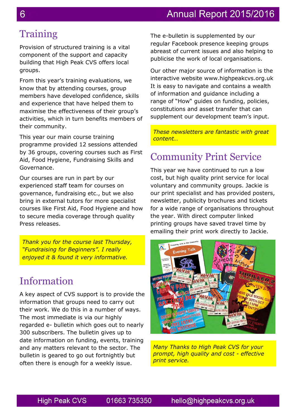#### Annual Report 2015/2016

# **Training**

Provision of structured training is a vital component of the support and capacity building that High Peak CVS offers local groups.

From this year's training evaluations, we know that by attending courses, group members have developed confidence, skills and experience that have helped them to maximise the effectiveness of their group's activities, which in turn benefits members of their community.

This year our main course training programme provided 12 sessions attended by 36 groups, covering courses such as First Aid, Food Hygiene, Fundraising Skills and Governance.

Our courses are run in part by our experienced staff team for courses on governance, fundraising etc., but we also bring in external tutors for more specialist courses like First Aid, Food Hygiene and how to secure media coverage through quality Press releases.

*Thank you for the course last Thursday, "Fundraising for Beginners". I really enjoyed it & found it very informative.*

#### Information

A key aspect of CVS support is to provide the information that groups need to carry out their work. We do this in a number of ways. The most immediate is via our highly regarded e- bulletin which goes out to nearly 300 subscribers. The bulletin gives up to date information on funding, events, training and any matters relevant to the sector. The bulletin is geared to go out fortnightly but often there is enough for a weekly issue.

The e-bulletin is supplemented by our regular Facebook presence keeping groups abreast of current issues and also helping to publicise the work of local organisations.

Our other major source of information is the interactive website www.highpeakcvs.org.uk It is easy to navigate and contains a wealth of information and guidance including a range of "How" guides on funding, policies, constitutions and asset transfer that can supplement our development team's input.

*These newsletters are fantastic with great content…*

#### Community Print Service

This year we have continued to run a low cost, but high quality print service for local voluntary and community groups. Jackie is our print specialist and has provided posters, newsletter, publicity brochures and tickets for a wide range of organisations throughout the year. With direct computer linked printing groups have saved travel time by emailing their print work directly to Jackie.



*Many Thanks to High Peak CVS for your prompt, high quality and cost - effective print service.*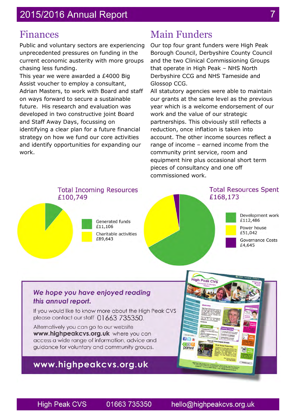#### 2015/2016 Annual Report

#### Finances

Public and voluntary sectors are experiencing unprecedented pressures on funding in the current economic austerity with more groups chasing less funding.

This year we were awarded a £4000 Big Assist voucher to employ a consultant, Adrian Masters, to work with Board and staff on ways forward to secure a sustainable future. His research and evaluation was developed in two constructive joint Board and Staff Away Days, focussing on identifying a clear plan for a future financial strategy on how we fund our core activities and identify opportunities for expanding our work.

# Main Funders

Our top four grant funders were High Peak Borough Council, Derbyshire County Council and the two Clinical Commissioning Groups that operate in High Peak – NHS North Derbyshire CCG and NHS Tameside and Glossop CCG.

All statutory agencies were able to maintain our grants at the same level as the previous year which is a welcome endorsement of our work and the value of our strategic partnerships. This obviously still reflects a reduction, once inflation is taken into account. The other income sources reflect a range of income – earned income from the community print service, room and equipment hire plus occasional short term pieces of consultancy and one off commissioned work.



#### We hope you have enjoyed reading this annual report.

If you would like to know more about the High Peak CVS please contact our staff 01663 735350.

Alternatively you can go to our website www.highpeakcvs.org.uk where you can access a wide range of information, advice and guidance for voluntary and community groups.

#### www.highpeakcvs.org.uk